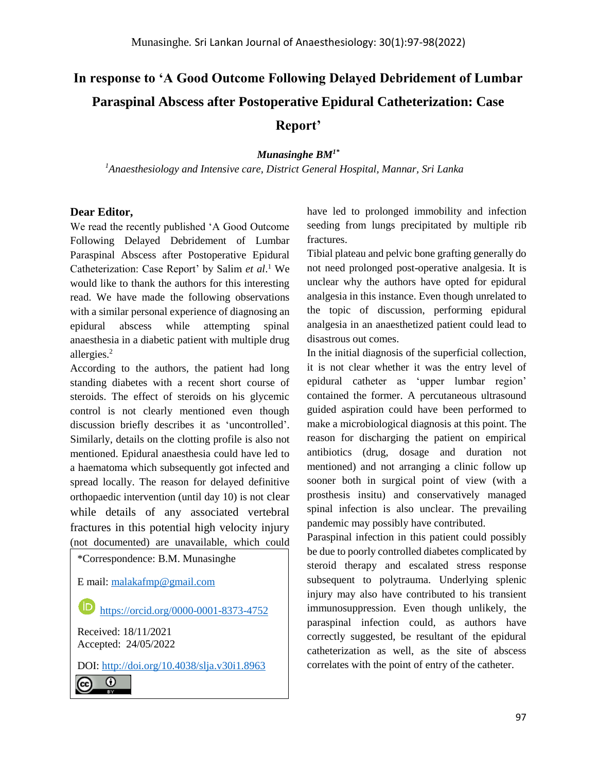## **In response to 'A Good Outcome Following Delayed Debridement of Lumbar Paraspinal Abscess after Postoperative Epidural Catheterization: Case Report'**

*Munasinghe BM1\** 

*<sup>1</sup>Anaesthesiology and Intensive care, District General Hospital, Mannar, Sri Lanka* 

## **Dear Editor,**

We read the recently published 'A Good Outcome Following Delayed Debridement of Lumbar Paraspinal Abscess after Postoperative Epidural Catheterization: Case Report' by Salim *et al*. <sup>1</sup> We would like to thank the authors for this interesting read. We have made the following observations with a similar personal experience of diagnosing an epidural abscess while attempting spinal anaesthesia in a diabetic patient with multiple drug allergies.<sup>2</sup>

According to the authors, the patient had long standing diabetes with a recent short course of steroids. The effect of steroids on his glycemic control is not clearly mentioned even though discussion briefly describes it as 'uncontrolled'. Similarly, details on the clotting profile is also not mentioned. Epidural anaesthesia could have led to a haematoma which subsequently got infected and spread locally. The reason for delayed definitive orthopaedic intervention (until day 10) is not clear while details of any associated vertebral fractures in this potential high velocity injury (not documented) are unavailable, which could



have led to prolonged immobility and infection seeding from lungs precipitated by multiple rib fractures.

Tibial plateau and pelvic bone grafting generally do not need prolonged post-operative analgesia. It is unclear why the authors have opted for epidural analgesia in this instance. Even though unrelated to the topic of discussion, performing epidural analgesia in an anaesthetized patient could lead to disastrous out comes.

In the initial diagnosis of the superficial collection, it is not clear whether it was the entry level of epidural catheter as 'upper lumbar region' contained the former. A percutaneous ultrasound guided aspiration could have been performed to make a microbiological diagnosis at this point. The reason for discharging the patient on empirical antibiotics (drug, dosage and duration not mentioned) and not arranging a clinic follow up sooner both in surgical point of view (with a prosthesis insitu) and conservatively managed spinal infection is also unclear. The prevailing pandemic may possibly have contributed.

Paraspinal infection in this patient could possibly be due to poorly controlled diabetes complicated by steroid therapy and escalated stress response subsequent to polytrauma. Underlying splenic injury may also have contributed to his transient immunosuppression. Even though unlikely, the paraspinal infection could, as authors have correctly suggested, be resultant of the epidural catheterization as well, as the site of abscess correlates with the point of entry of the catheter.